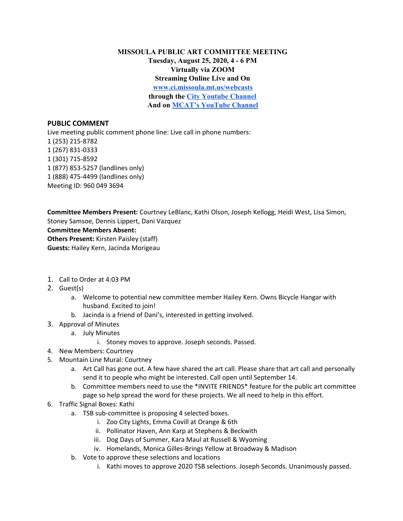**MISSOULA PUBLIC ART COMMITTEE MEETING Tuesday, August 25, 2020, 4 - 6 PM Virtually via ZOOM Streaming Online Live and On [www.ci.missoula.mt.us/webcasts](http://www.ci.missoula.mt.us/webcasts) through the City [Youtube](https://www.youtube.com/channel/UC5fnfMPFGSk8Gwq6F5UoqGg) Channel And on MCAT's [YouTube](https://www.youtube.com/user/mcatchannel7) Channel**

## **PUBLIC COMMENT**

Live meeting public comment phone line: Live call in phone numbers: (253) 215-8782 (267) 831-0333 (301) 715-8592 (877) 853-5257 (landlines only) (888) 475-4499 (landlines only) Meeting ID: 960 049 3694

**Committee Members Present:** Courtney LeBlanc, Kathi Olson, Joseph Kellogg, Heidi West, Lisa Simon, Stoney Samsoe, Dennis Lippert, Dani Vazquez **Committee Members Absent: Others Present:** Kirsten Paisley (staff) **Guests:** Hailey Kern, Jacinda Morigeau

- 1. Call to Order at 4:03 PM
- 2. Guest(s)
	- a. Welcome to potential new committee member Hailey Kern. Owns Bicycle Hangar with husband. Excited to join!
	- b. Jacinda is a friend of Dani's, interested in getting involved.
- 3. Approval of Minutes
	- a. July Minutes
		- i. Stoney moves to approve. Joseph seconds. Passed.
- 4. New Members: Courtney
- 5. Mountain Line Mural: Courtney
	- a. Art Call has gone out. A few have shared the art call. Please share that art call and personally send it to people who might be interested. Call open until September 14.
	- b. Committee members need to use the \*INVITE FRIENDS\* feature for the public art committee page so help spread the word for these projects. We all need to help in this effort.
- 6. Traffic Signal Boxes: Kathi
	- a. TSB sub-committee is proposing 4 selected boxes.
		- i. Zoo City Lights, Emma Covill at Orange & 6th
		- ii. Pollinator Haven, Ann Karp at Stephens & Beckwith
		- iii. Dog Days of Summer, Kara Maul at Russell & Wyoming
		- iv. Homelands, Monica Gilles-Brings Yellow at Broadway & Madison
	- b. Vote to approve these selections and locations
		- i. Kathi moves to approve 2020 TSB selections. Joseph Seconds. Unanimously passed.